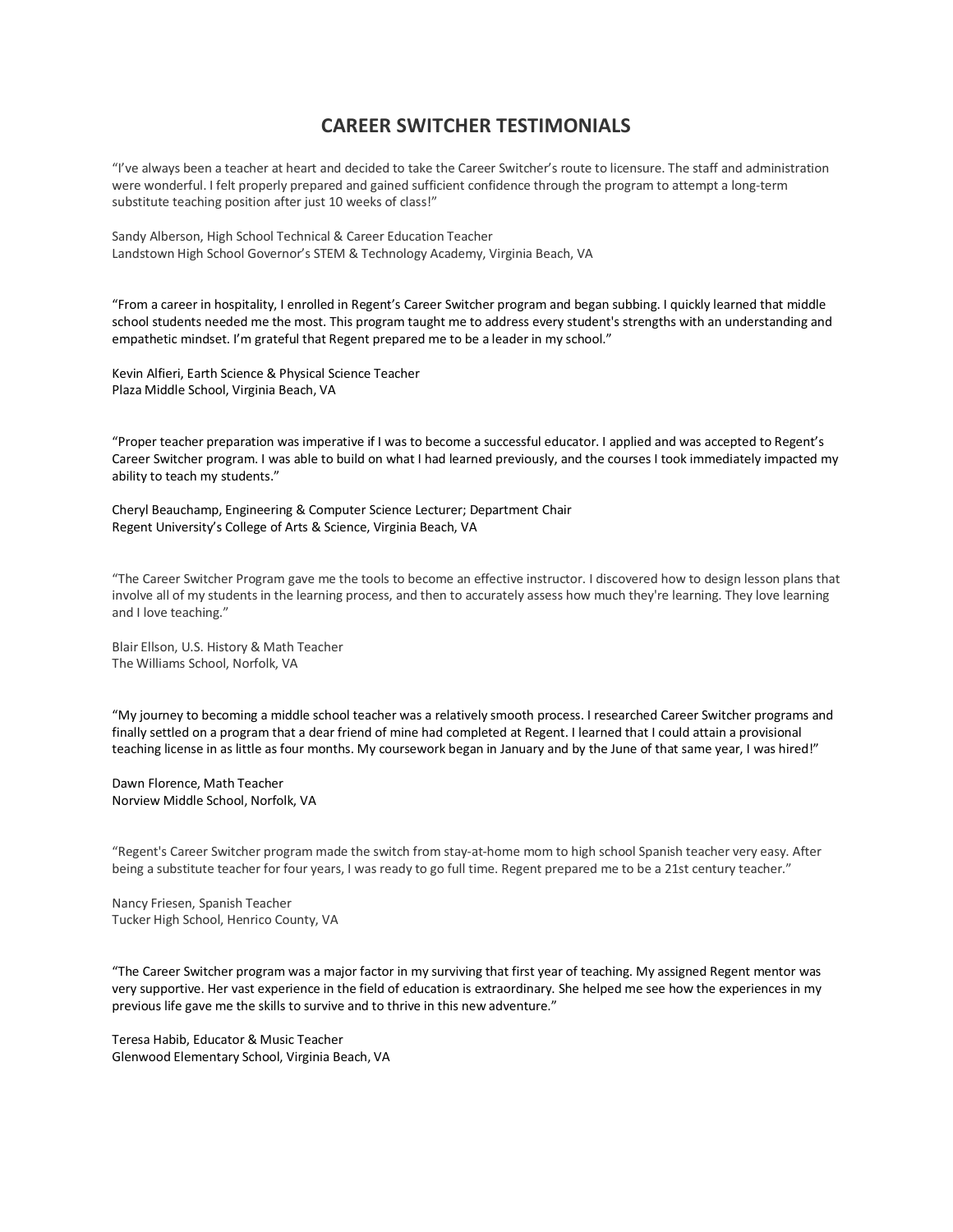## **CAREER SWITCHER TESTIMONIALS**

"I've always been a teacher at heart and decided to take the Career Switcher's route to licensure. The staff and administration were wonderful. I felt properly prepared and gained sufficient confidence through the program to attempt a long-term substitute teaching position after just 10 weeks of class!"

Sandy Alberson, High School Technical & Career Education Teacher Landstown High School Governor's STEM & Technology Academy, Virginia Beach, VA

"From a career in hospitality, I enrolled in Regent's Career Switcher program and began subbing. I quickly learned that middle school students needed me the most. This program taught me to address every student's strengths with an understanding and empathetic mindset. I'm grateful that Regent prepared me to be a leader in my school."

Kevin Alfieri, Earth Science & Physical Science Teacher Plaza Middle School, Virginia Beach, VA

"Proper teacher preparation was imperative if I was to become a successful educator. I applied and was accepted to Regent's Career Switcher program. I was able to build on what I had learned previously, and the courses I took immediately impacted my ability to teach my students."

Cheryl Beauchamp, Engineering & Computer Science Lecturer; Department Chair Regent University's College of Arts & Science, Virginia Beach, VA

"The Career Switcher Program gave me the tools to become an effective instructor. I discovered how to design lesson plans that involve all of my students in the learning process, and then to accurately assess how much they're learning. They love learning and I love teaching."

Blair Ellson, U.S. History & Math Teacher The Williams School, Norfolk, VA

"My journey to becoming a middle school teacher was a relatively smooth process. I researched Career Switcher programs and finally settled on a program that a dear friend of mine had completed at Regent. I learned that I could attain a provisional teaching license in as little as four months. My coursework began in January and by the June of that same year, I was hired!"

Dawn Florence, Math Teacher Norview Middle School, Norfolk, VA

"Regent's Career Switcher program made the switch from stay-at-home mom to high school Spanish teacher very easy. After being a substitute teacher for four years, I was ready to go full time. Regent prepared me to be a 21st century teacher."

Nancy Friesen, Spanish Teacher Tucker High School, Henrico County, VA

"The Career Switcher program was a major factor in my surviving that first year of teaching. My assigned Regent mentor was very supportive. Her vast experience in the field of education is extraordinary. She helped me see how the experiences in my previous life gave me the skills to survive and to thrive in this new adventure."

Teresa Habib, Educator & Music Teacher Glenwood Elementary School, Virginia Beach, VA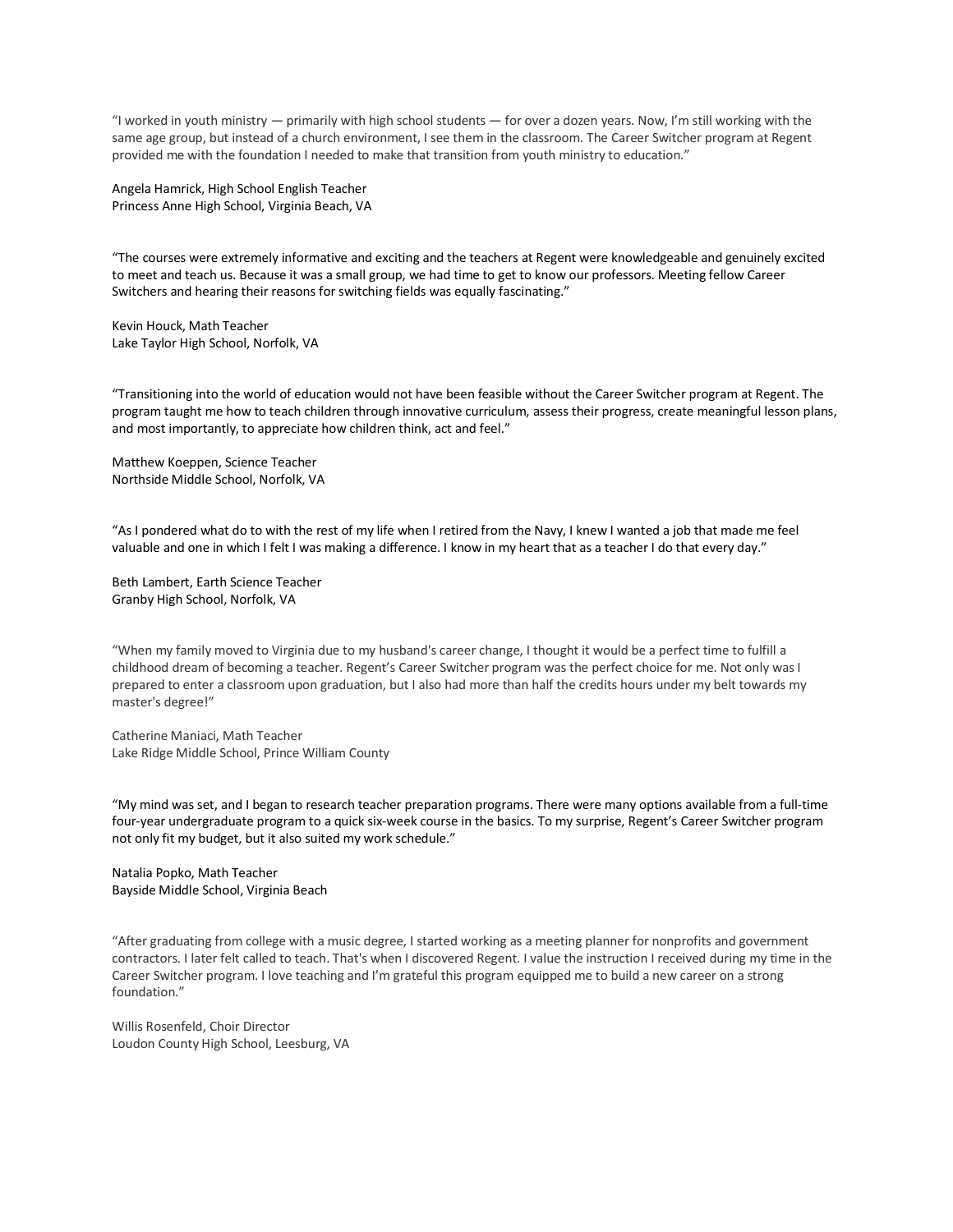"I worked in youth ministry — primarily with high school students — for over a dozen years. Now, I'm still working with the same age group, but instead of a church environment, I see them in the classroom. The Career Switcher program at Regent provided me with the foundation I needed to make that transition from youth ministry to education."

Angela Hamrick, High School English Teacher Princess Anne High School, Virginia Beach, VA

"The courses were extremely informative and exciting and the teachers at Regent were knowledgeable and genuinely excited to meet and teach us. Because it was a small group, we had time to get to know our professors. Meeting fellow Career Switchers and hearing their reasons for switching fields was equally fascinating."

Kevin Houck, Math Teacher Lake Taylor High School, Norfolk, VA

"Transitioning into the world of education would not have been feasible without the Career Switcher program at Regent. The program taught me how to teach children through innovative curriculum, assess their progress, create meaningful lesson plans, and most importantly, to appreciate how children think, act and feel."

Matthew Koeppen, Science Teacher Northside Middle School, Norfolk, VA

"As I pondered what do to with the rest of my life when I retired from the Navy, I knew I wanted a job that made me feel valuable and one in which I felt I was making a difference. I know in my heart that as a teacher I do that every day."

Beth Lambert, Earth Science Teacher Granby High School, Norfolk, VA

"When my family moved to Virginia due to my husband's career change, I thought it would be a perfect time to fulfill a childhood dream of becoming a teacher. Regent's Career Switcher program was the perfect choice for me. Not only was I prepared to enter a classroom upon graduation, but I also had more than half the credits hours under my belt towards my master's degree!"

Catherine Maniaci, Math Teacher Lake Ridge Middle School, Prince William County

"My mind was set, and I began to research teacher preparation programs. There were many options available from a full-time four-year undergraduate program to a quick six-week course in the basics. To my surprise, Regent's Career Switcher program not only fit my budget, but it also suited my work schedule."

Natalia Popko, Math Teacher Bayside Middle School, Virginia Beach

"After graduating from college with a music degree, I started working as a meeting planner for nonprofits and government contractors. I later felt called to teach. That's when I discovered Regent. I value the instruction I received during my time in the Career Switcher program. I love teaching and I'm grateful this program equipped me to build a new career on a strong foundation."

Willis Rosenfeld, Choir Director Loudon County High School, Leesburg, VA